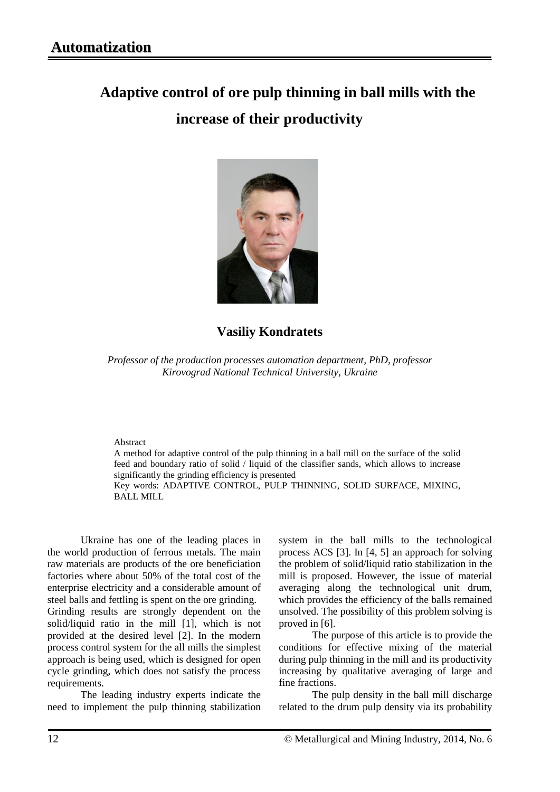# **Adaptive control of ore pulp thinning in ball mills with the increase of their productivity**



# **Vasiliy Kondratets**

*Professor of the production processes automation department, PhD, professor Kirovograd National Technical University, Ukraine*

#### Abstract

A method for adaptive control of the pulp thinning in a ball mill on the surface of the solid feed and boundary ratio of solid / liquid of the classifier sands, which allows to increase significantly the grinding efficiency is presented

Key words: ADAPTIVE CONTROL, PULP THINNING, SOLID SURFACE, MIXING, BALL MILL

Ukraine has one of the leading places in the world production of ferrous metals. The main raw materials are products of the ore beneficiation factories where about 50% of the total cost of the enterprise electricity and a considerable amount of steel balls and [fettling](http://www.lingvo.ua/ru/Search/Translate/GlossaryItemExtraInfo?text=%d1%84%d1%83%d1%82%d0%b5%d1%80%d0%be%d0%b2%d0%ba%d0%b0&translation=fettling&srcLang=ru&destLang=en) is spent on the ore grinding.

Grinding results are strongly dependent on the solid/liquid ratio in the mill [1], which is not provided at the desired level [2]. In the modern process control system for the all mills the simplest approach is being used, which is designed for open cycle grinding, which does not satisfy the process requirements.

The leading industry experts indicate the need to implement the pulp thinning stabilization system in the ball mills to the technological process ACS [3]. In [4, 5] an approach for solving the problem of solid/liquid ratio stabilization in the mill is proposed. However, the issue of material averaging along the technological unit drum, which provides the efficiency of the balls remained unsolved. The possibility of this problem solving is proved in [6].

The purpose of this article is to provide the conditions for effective mixing of the material during pulp thinning in the mill and its productivity increasing by qualitative averaging of large and fine fractions.

The pulp density in the ball mill discharge related to the drum pulp density via its probability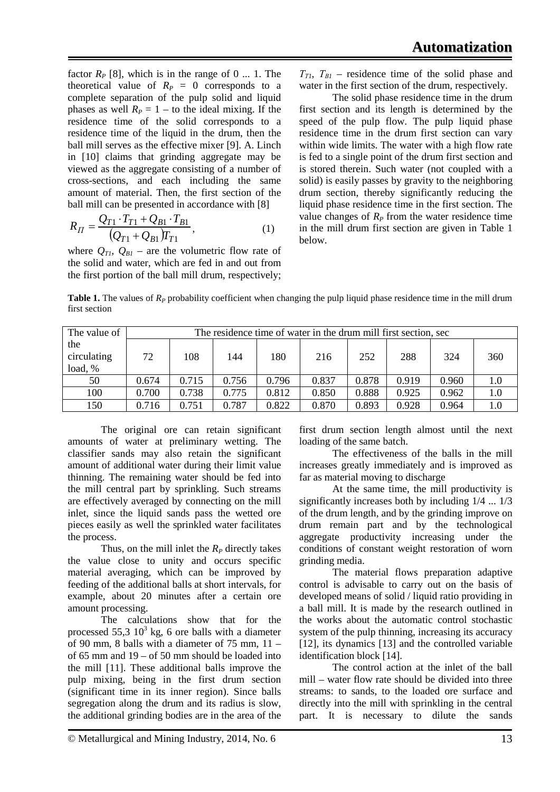factor  $R_P$  [8], which is in the range of 0 ... 1. The theoretical value of  $R_P = 0$  corresponds to a complete separation of the pulp solid and liquid phases as well  $R_p = 1$  – to the ideal mixing. If the residence time of the solid corresponds to a residence time of the liquid in the drum, then the ball mill serves as the effective mixer [9]. A. Linch in [10] claims that grinding aggregate may be viewed as the aggregate consisting of a number of cross-sections, and each including the same amount of material. Then, the first section of the ball mill can be presented in accordance with [8]

$$
R_{II} = \frac{Q_{T1} \cdot T_{T1} + Q_{B1} \cdot T_{B1}}{(Q_{T1} + Q_{B1})T_{T1}},
$$
\n(1)

where  $Q_{Tl}$ ,  $Q_{BI}$  – are the volumetric flow rate of the solid and water, which are fed in and out from the first portion of the ball mill drum, respectively;

 $T_{TI}$ ,  $T_{BI}$  – residence time of the solid phase and water in the first section of the drum, respectively.

The solid phase residence time in the drum first section and its length is determined by the speed of the pulp flow. The pulp liquid phase residence time in the drum first section can vary within wide limits. The water with a high flow rate is fed to a single point of the drum first section and is stored therein. Such water (not coupled with a solid) is easily passes by gravity to the neighboring drum section, thereby significantly reducing the liquid phase residence time in the first section. The value changes of  $R<sub>P</sub>$  from the water residence time in the mill drum first section are given in Table 1 below.

**Table 1.** The values of  $R<sub>P</sub>$  probability coefficient when changing the pulp liquid phase residence time in the mill drum first section

| The value of                  | The residence time of water in the drum mill first section, sec |       |       |       |       |       |       |       |         |
|-------------------------------|-----------------------------------------------------------------|-------|-------|-------|-------|-------|-------|-------|---------|
| the<br>circulating<br>load, % | 72                                                              | 108   | 144   | 180   | 216   | 252   | 288   | 324   | 360     |
| 50                            | 0.674                                                           | 0.715 | 0.756 | 0.796 | 0.837 | 0.878 | 0.919 | 0.960 | 1.0     |
|                               |                                                                 |       |       |       |       |       |       |       |         |
| 100                           | 0.700                                                           | 0.738 | 0.775 | 0.812 | 0.850 | 0.888 | 0.925 | 0.962 | 1.0     |
| 150                           | 0.716                                                           | 0.751 | 0.787 | 0.822 | 0.870 | 0.893 | 0.928 | 0.964 | $1.0\,$ |

The original ore can retain significant amounts of water at preliminary wetting. The classifier sands may also retain the significant amount of additional water during their limit value thinning. The remaining water should be fed into the mill central part by sprinkling. Such streams are effectively averaged by connecting on the mill inlet, since the liquid sands pass the wetted ore pieces easily as well the sprinkled water facilitates the process.

Thus, on the mill inlet the  $R<sub>P</sub>$  directly takes the value close to unity and occurs specific material averaging, which can be improved by feeding of the additional balls at short intervals, for example, about 20 minutes after a certain ore amount processing.

The calculations show that for the processed  $55,3 \ 10^3$  kg, 6 ore balls with a diameter of 90 mm, 8 balls with a diameter of  $75$  mm,  $11$ of 65 mm and 19 – of 50 mm should be loaded into the mill [11]. These additional balls improve the pulp mixing, being in the first drum section (significant time in its inner region). Since balls segregation along the drum and its radius is slow, the additional grinding bodies are in the area of the first drum section length almost until the next loading of the same batch.

The effectiveness of the balls in the mill increases greatly immediately and is improved as far as material moving to discharge

At the same time, the mill productivity is significantly increases both by including 1/4 ... 1/3 of the drum length, and by the grinding improve on drum remain part and by the technological aggregate productivity increasing under the conditions of constant weight restoration of worn grinding media.

The material flows preparation adaptive control is advisable to carry out on the basis of developed means of solid / liquid ratio providing in a ball mill. It is made by the research outlined in the works about the automatic control stochastic system of the pulp thinning, increasing its accuracy [12], its dynamics [13] and the controlled variable identification block [14].

The control action at the inlet of the ball mill – water flow rate should be divided into three streams: to sands, to the loaded ore surface and directly into the mill with sprinkling in the central part. It is necessary to dilute the sands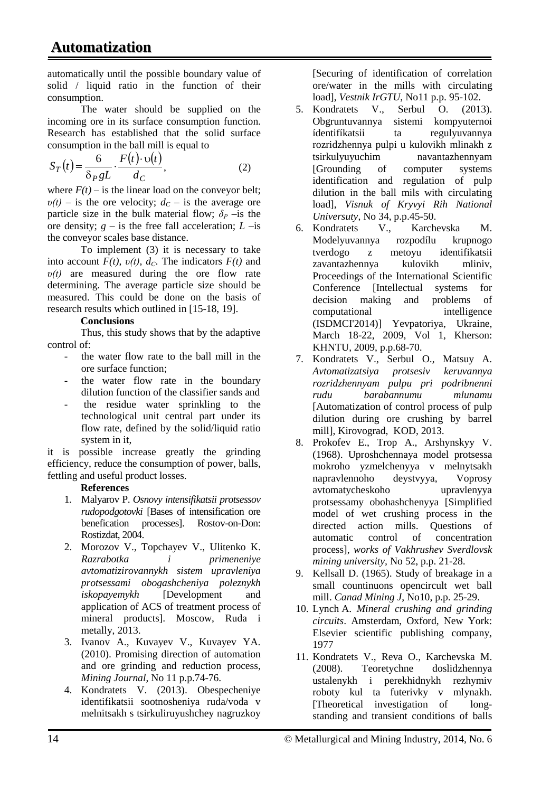automatically until the possible boundary value of solid / liquid ratio in the function of their consumption.

The water should be supplied on the incoming ore in its surface consumption function. Research has established that the solid surface consumption in the ball mill is equal to

$$
S_T(t) = \frac{6}{\delta_P g L} \cdot \frac{F(t) \cdot v(t)}{d_C},\tag{2}
$$

where  $F(t)$  – is the linear load on the conveyor belt;  $v(t)$  – is the ore velocity;  $d_c$  – is the average ore particle size in the bulk material flow;  $\delta_p$  –is the ore density;  $g -$  is the free fall acceleration;  $L -$ is the conveyor scales base distance.

To implement (3) it is necessary to take into account  $F(t)$ ,  $v(t)$ ,  $d_C$ . The indicators  $F(t)$  and *υ(t)* are measured during the ore flow rate determining. The average particle size should be measured. This could be done on the basis of research results which outlined in [15-18, 19].

## **Conclusions**

Thus, this study shows that by the adaptive control of:

- the water flow rate to the ball mill in the ore surface function;
- the water flow rate in the boundary dilution function of the classifier sands and
- the residue water sprinkling to the technological unit central part under its flow rate, defined by the solid/liquid ratio system in it,

it is possible increase greatly the grinding efficiency, reduce the consumption of power, balls, fettling and useful product losses.

## **References**

- 1. Malyarov P. *Osnovy intensifikatsii protsessov rudopodgotovki* [Bases of intensification ore benefication processes]. Rostov-on-Don: Rostizdat, 2004.
- 2. Morozov V., Topchayev V., Ulitenko K. *Razrabotka i primeneniye avtomatizirovannykh sistem upravleniya protsessami obogashcheniya poleznykh iskopayemykh* [Development and application of ACS of treatment process of mineral products]. Moscow, Ruda i metally, 2013.
- 3. Ivanov A., Kuvayev V., Kuvayev YA. (2010). Promising direction of automation and ore grinding and reduction process, *Mining Journal*, No 11 p.p.74-76.
- 4. Kondratets V. (2013). Obespecheniye identifikatsii sootnosheniya ruda/voda v melnitsakh s tsirkuliruyushchey nagruzkoy

[Securing of identification of correlation ore/water in the mills with circulating load], *Vestnik IrGTU*, No11 p.p. 95-102.

- 5. Kondratets V., Serbul O. (2013). Obgruntuvannya sistemi kompyuternoi ídentifíkatsii ta regulyuvannya rozridzhennya pulpi u kulovikh mlinakh z tsirkulyuyuchim navantazhennyam [Grounding of computer systems identification and regulation of pulp dilution in the ball mils with circulating load], *Visnuk of Kryvyi Rih National Universuty*, No 34, p.p.45-50.
- 6. Kondratets V., Karchevska M. Modelyuvannya rozpodílu krupnogo z metoyu identifikatsii zavantazhennya kulovikh mliniv, Proceedings of the International Scientific Conference [Intellectual systems for decision making and problems of computational intelligence (ISDMCI'2014)] Yevpatoriya, Ukraine, March 18-22, 2009, Vol 1, Kherson: KHNTU, 2009, p.p.68-70.
- 7. Kondratets V., Serbul O., Matsuy A. *Avtomatizatsiya protsesiv keruvannya rozridzhennyam pulpu pri podribnenni rudu barabannumu mlunamu*  [Automatization of control process of pulp dilution during ore crushing by barrel mill], Kirovograd, KOD, 2013.
- 8. Prokofev E., Trop A., Arshynskyy V. (1968). Uproshchennaya model protsessa mokroho yzmelchenyya v melnytsakh napravlennoho deystvyya, Voprosy avtomatycheskoho upravlenyya protsessamy obohashchenyya [Simplified model of wet crushing process in the directed action mills. Questions of automatic control of concentration process], *works of Vakhrushev Sverdlovsk mining university,* No 52, p.p. 21-28.
- 9. Kellsall D. (1965). Study of breakage in a small countinuons opencircult wet ball mill. *Canad Mining J*, No10, p.p. 25-29.
- 10. Lynch A. *Mineral crushing and grinding circuits*. Amsterdam, Oxford, New York: Elsevier scientific publishing company, 1977
- 11. Kondratets V., Reva O., Karchevska M. (2008). Teoretychne doslidzhennya ustalenykh i perekhidnykh rezhymiv roboty kul ta futerivky v mlynakh. [Theoretical investigation of longstanding and transient conditions of balls